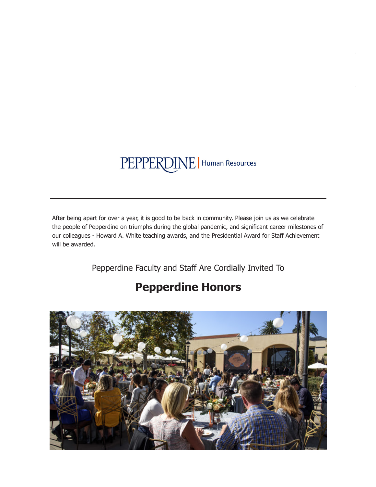# PEPPERDINE | Human Resources

After being apart for over a year, it is good to be back in community. Please join us as we celebrate the people of Pepperdine on triumphs during the global pandemic, and significant career milestones of our colleagues - Howard A. White teaching awards, and the Presidential Award for Staff Achievement will be awarded.

Pepperdine Faculty and Staff Are Cordially Invited To

## **Pepperdine Honors**